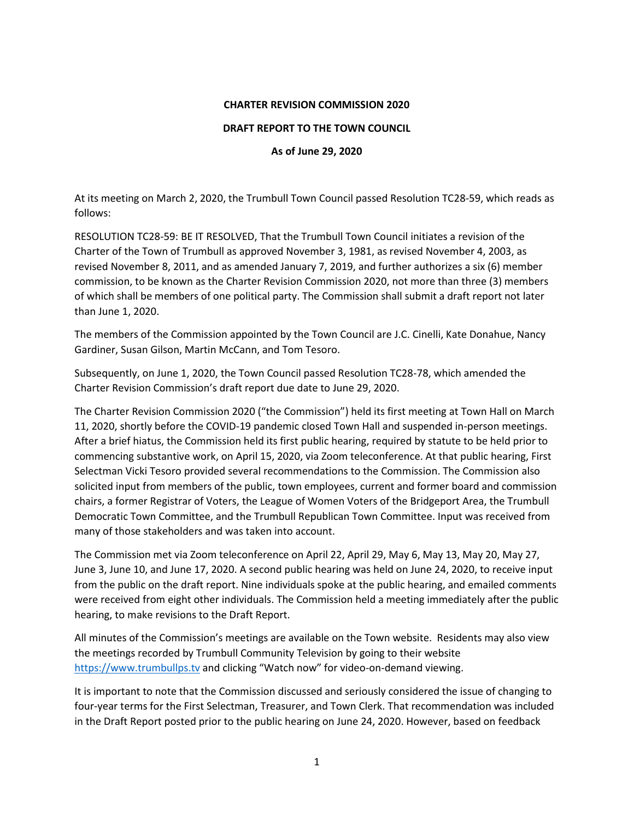#### **CHARTER REVISION COMMISSION 2020**

#### **DRAFT REPORT TO THE TOWN COUNCIL**

### **As of June 29, 2020**

At its meeting on March 2, 2020, the Trumbull Town Council passed Resolution TC28-59, which reads as follows:

RESOLUTION TC28-59: BE IT RESOLVED, That the Trumbull Town Council initiates a revision of the Charter of the Town of Trumbull as approved November 3, 1981, as revised November 4, 2003, as revised November 8, 2011, and as amended January 7, 2019, and further authorizes a six (6) member commission, to be known as the Charter Revision Commission 2020, not more than three (3) members of which shall be members of one political party. The Commission shall submit a draft report not later than June 1, 2020.

The members of the Commission appointed by the Town Council are J.C. Cinelli, Kate Donahue, Nancy Gardiner, Susan Gilson, Martin McCann, and Tom Tesoro.

Subsequently, on June 1, 2020, the Town Council passed Resolution TC28-78, which amended the Charter Revision Commission's draft report due date to June 29, 2020.

The Charter Revision Commission 2020 ("the Commission") held its first meeting at Town Hall on March 11, 2020, shortly before the COVID-19 pandemic closed Town Hall and suspended in-person meetings. After a brief hiatus, the Commission held its first public hearing, required by statute to be held prior to commencing substantive work, on April 15, 2020, via Zoom teleconference. At that public hearing, First Selectman Vicki Tesoro provided several recommendations to the Commission. The Commission also solicited input from members of the public, town employees, current and former board and commission chairs, a former Registrar of Voters, the League of Women Voters of the Bridgeport Area, the Trumbull Democratic Town Committee, and the Trumbull Republican Town Committee. Input was received from many of those stakeholders and was taken into account.

The Commission met via Zoom teleconference on April 22, April 29, May 6, May 13, May 20, May 27, June 3, June 10, and June 17, 2020. A second public hearing was held on June 24, 2020, to receive input from the public on the draft report. Nine individuals spoke at the public hearing, and emailed comments were received from eight other individuals. The Commission held a meeting immediately after the public hearing, to make revisions to the Draft Report.

All minutes of the Commission's meetings are available on the Town website. Residents may also view the meetings recorded by Trumbull Community Television by going to their website [https://www.trumbullps.tv](https://www.trumbullps.tv/) and clicking "Watch now" for video-on-demand viewing.

It is important to note that the Commission discussed and seriously considered the issue of changing to four-year terms for the First Selectman, Treasurer, and Town Clerk. That recommendation was included in the Draft Report posted prior to the public hearing on June 24, 2020. However, based on feedback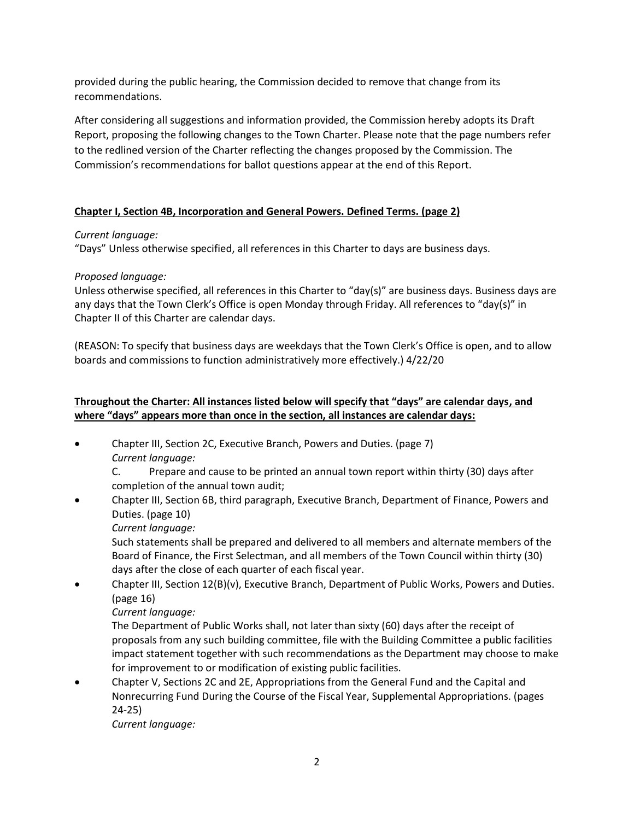provided during the public hearing, the Commission decided to remove that change from its recommendations.

After considering all suggestions and information provided, the Commission hereby adopts its Draft Report, proposing the following changes to the Town Charter. Please note that the page numbers refer to the redlined version of the Charter reflecting the changes proposed by the Commission. The Commission's recommendations for ballot questions appear at the end of this Report.

# **Chapter I, Section 4B, Incorporation and General Powers. Defined Terms. (page 2)**

## *Current language:*

"Days" Unless otherwise specified, all references in this Charter to days are business days.

## *Proposed language:*

Unless otherwise specified, all references in this Charter to "day(s)" are business days. Business days are any days that the Town Clerk's Office is open Monday through Friday. All references to "day(s)" in Chapter II of this Charter are calendar days.

(REASON: To specify that business days are weekdays that the Town Clerk's Office is open, and to allow boards and commissions to function administratively more effectively.) 4/22/20

# **Throughout the Charter: All instances listed below will specify that "days" are calendar days, and where "days" appears more than once in the section, all instances are calendar days:**

- Chapter III, Section 2C, Executive Branch, Powers and Duties. (page 7) *Current language:* 
	- C. Prepare and cause to be printed an annual town report within thirty (30) days after completion of the annual town audit;
- Chapter III, Section 6B, third paragraph, Executive Branch, Department of Finance, Powers and Duties. (page 10)

*Current language:*

Such statements shall be prepared and delivered to all members and alternate members of the Board of Finance, the First Selectman, and all members of the Town Council within thirty (30) days after the close of each quarter of each fiscal year.

• Chapter III, Section 12(B)(v), Executive Branch, Department of Public Works, Powers and Duties. (page 16)

# *Current language:*

The Department of Public Works shall, not later than sixty (60) days after the receipt of proposals from any such building committee, file with the Building Committee a public facilities impact statement together with such recommendations as the Department may choose to make for improvement to or modification of existing public facilities.

• Chapter V, Sections 2C and 2E, Appropriations from the General Fund and the Capital and Nonrecurring Fund During the Course of the Fiscal Year, Supplemental Appropriations. (pages 24-25)

*Current language:*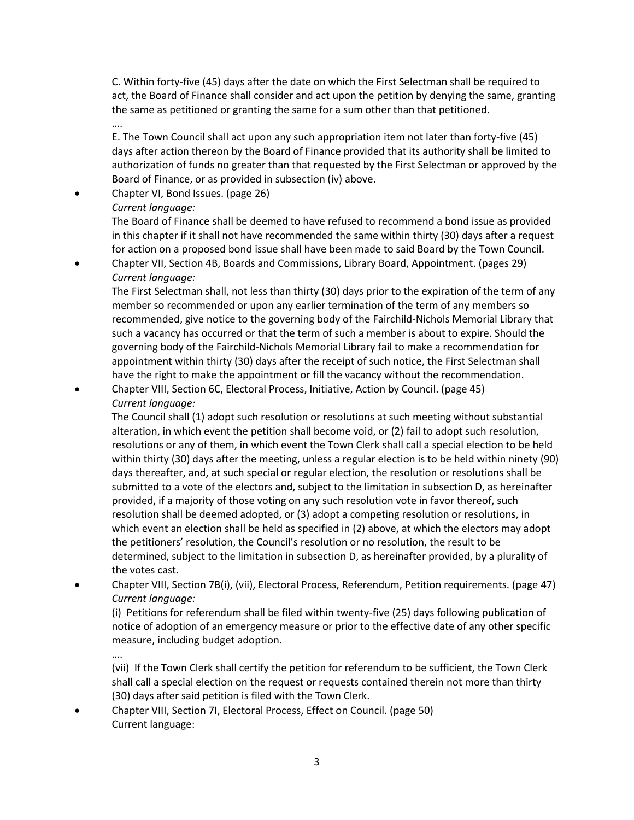C. Within forty-five (45) days after the date on which the First Selectman shall be required to act, the Board of Finance shall consider and act upon the petition by denying the same, granting the same as petitioned or granting the same for a sum other than that petitioned. ….

E. The Town Council shall act upon any such appropriation item not later than forty-five (45) days after action thereon by the Board of Finance provided that its authority shall be limited to authorization of funds no greater than that requested by the First Selectman or approved by the Board of Finance, or as provided in subsection (iv) above.

- Chapter VI, Bond Issues. (page 26)
	- *Current language:*

The Board of Finance shall be deemed to have refused to recommend a bond issue as provided in this chapter if it shall not have recommended the same within thirty (30) days after a request for action on a proposed bond issue shall have been made to said Board by the Town Council.

• Chapter VII, Section 4B, Boards and Commissions, Library Board, Appointment. (pages 29) *Current language:*

The First Selectman shall, not less than thirty (30) days prior to the expiration of the term of any member so recommended or upon any earlier termination of the term of any members so recommended, give notice to the governing body of the Fairchild-Nichols Memorial Library that such a vacancy has occurred or that the term of such a member is about to expire. Should the governing body of the Fairchild-Nichols Memorial Library fail to make a recommendation for appointment within thirty (30) days after the receipt of such notice, the First Selectman shall have the right to make the appointment or fill the vacancy without the recommendation.

• Chapter VIII, Section 6C, Electoral Process, Initiative, Action by Council. (page 45) *Current language:*

The Council shall (1) adopt such resolution or resolutions at such meeting without substantial alteration, in which event the petition shall become void, or (2) fail to adopt such resolution, resolutions or any of them, in which event the Town Clerk shall call a special election to be held within thirty (30) days after the meeting, unless a regular election is to be held within ninety (90) days thereafter, and, at such special or regular election, the resolution or resolutions shall be submitted to a vote of the electors and, subject to the limitation in subsection D, as hereinafter provided, if a majority of those voting on any such resolution vote in favor thereof, such resolution shall be deemed adopted, or (3) adopt a competing resolution or resolutions, in which event an election shall be held as specified in (2) above, at which the electors may adopt the petitioners' resolution, the Council's resolution or no resolution, the result to be determined, subject to the limitation in subsection D, as hereinafter provided, by a plurality of the votes cast.

• Chapter VIII, Section 7B(i), (vii), Electoral Process, Referendum, Petition requirements. (page 47) *Current language:*

(i) Petitions for referendum shall be filed within twenty-five (25) days following publication of notice of adoption of an emergency measure or prior to the effective date of any other specific measure, including budget adoption.

….

(vii) If the Town Clerk shall certify the petition for referendum to be sufficient, the Town Clerk shall call a special election on the request or requests contained therein not more than thirty (30) days after said petition is filed with the Town Clerk.

• Chapter VIII, Section 7I, Electoral Process, Effect on Council. (page 50) Current language: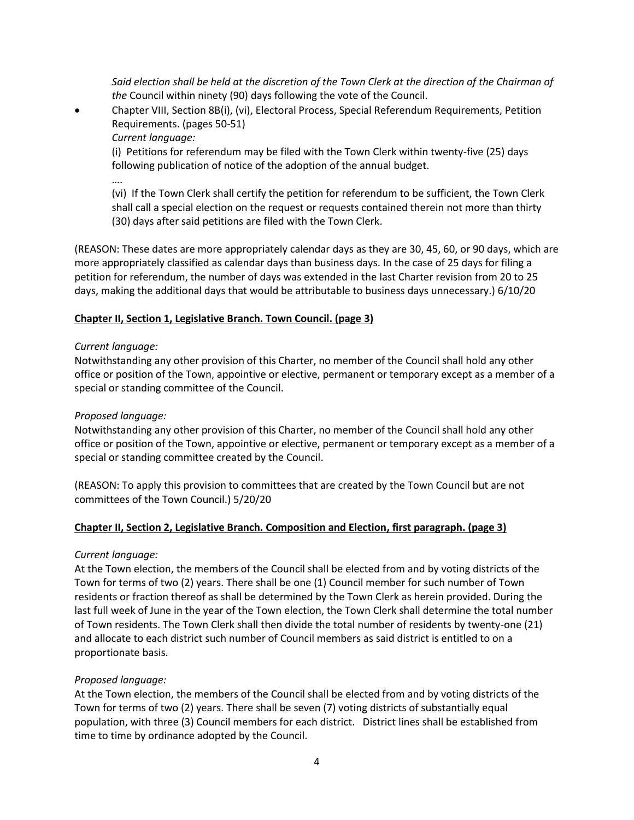*Said election shall be held at the discretion of the Town Clerk at the direction of the Chairman of the* Council within ninety (90) days following the vote of the Council.

• Chapter VIII, Section 8B(i), (vi), Electoral Process, Special Referendum Requirements, Petition Requirements. (pages 50-51)

*Current language:*

(i) Petitions for referendum may be filed with the Town Clerk within twenty-five (25) days following publication of notice of the adoption of the annual budget.

….

(vi) If the Town Clerk shall certify the petition for referendum to be sufficient, the Town Clerk shall call a special election on the request or requests contained therein not more than thirty (30) days after said petitions are filed with the Town Clerk.

(REASON: These dates are more appropriately calendar days as they are 30, 45, 60, or 90 days, which are more appropriately classified as calendar days than business days. In the case of 25 days for filing a petition for referendum, the number of days was extended in the last Charter revision from 20 to 25 days, making the additional days that would be attributable to business days unnecessary.) 6/10/20

## **Chapter II, Section 1, Legislative Branch. Town Council. (page 3)**

### *Current language:*

Notwithstanding any other provision of this Charter, no member of the Council shall hold any other office or position of the Town, appointive or elective, permanent or temporary except as a member of a special or standing committee of the Council.

## *Proposed language:*

Notwithstanding any other provision of this Charter, no member of the Council shall hold any other office or position of the Town, appointive or elective, permanent or temporary except as a member of a special or standing committee created by the Council.

(REASON: To apply this provision to committees that are created by the Town Council but are not committees of the Town Council.) 5/20/20

### **Chapter II, Section 2, Legislative Branch. Composition and Election, first paragraph. (page 3)**

### *Current language:*

At the Town election, the members of the Council shall be elected from and by voting districts of the Town for terms of two (2) years. There shall be one (1) Council member for such number of Town residents or fraction thereof as shall be determined by the Town Clerk as herein provided. During the last full week of June in the year of the Town election, the Town Clerk shall determine the total number of Town residents. The Town Clerk shall then divide the total number of residents by twenty-one (21) and allocate to each district such number of Council members as said district is entitled to on a proportionate basis.

### *Proposed language:*

At the Town election, the members of the Council shall be elected from and by voting districts of the Town for terms of two (2) years. There shall be seven (7) voting districts of substantially equal population, with three (3) Council members for each district. District lines shall be established from time to time by ordinance adopted by the Council.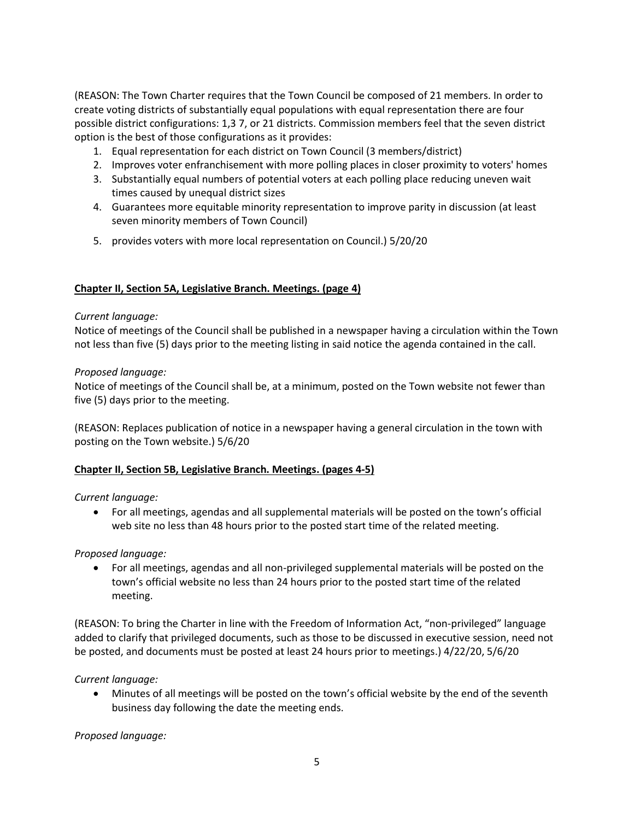(REASON: The Town Charter requires that the Town Council be composed of 21 members. In order to create voting districts of substantially equal populations with equal representation there are four possible district configurations: 1,3 7, or 21 districts. Commission members feel that the seven district option is the best of those configurations as it provides:

- 1. Equal representation for each district on Town Council (3 members/district)
- 2. Improves voter enfranchisement with more polling places in closer proximity to voters' homes
- 3. Substantially equal numbers of potential voters at each polling place reducing uneven wait times caused by unequal district sizes
- 4. Guarantees more equitable minority representation to improve parity in discussion (at least seven minority members of Town Council)
- 5. provides voters with more local representation on Council.) 5/20/20

### **Chapter II, Section 5A, Legislative Branch. Meetings. (page 4)**

### *Current language:*

Notice of meetings of the Council shall be published in a newspaper having a circulation within the Town not less than five (5) days prior to the meeting listing in said notice the agenda contained in the call.

### *Proposed language:*

Notice of meetings of the Council shall be, at a minimum, posted on the Town website not fewer than five (5) days prior to the meeting.

(REASON: Replaces publication of notice in a newspaper having a general circulation in the town with posting on the Town website.) 5/6/20

### **Chapter II, Section 5B, Legislative Branch. Meetings. (pages 4-5)**

### *Current language:*

• For all meetings, agendas and all supplemental materials will be posted on the town's official web site no less than 48 hours prior to the posted start time of the related meeting.

*Proposed language:*

• For all meetings, agendas and all non-privileged supplemental materials will be posted on the town's official website no less than 24 hours prior to the posted start time of the related meeting.

(REASON: To bring the Charter in line with the Freedom of Information Act, "non-privileged" language added to clarify that privileged documents, such as those to be discussed in executive session, need not be posted, and documents must be posted at least 24 hours prior to meetings.) 4/22/20, 5/6/20

*Current language:*

• Minutes of all meetings will be posted on the town's official website by the end of the seventh business day following the date the meeting ends.

*Proposed language:*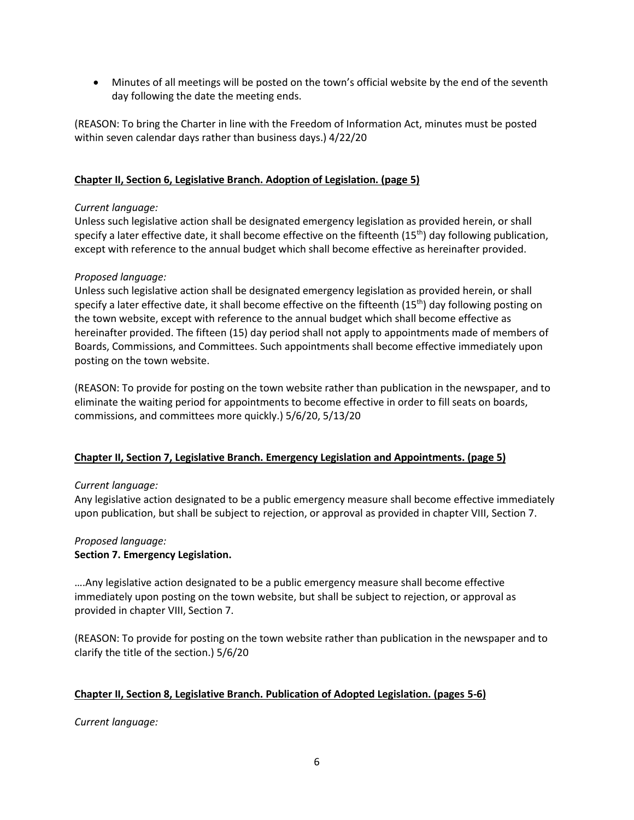• Minutes of all meetings will be posted on the town's official website by the end of the seventh day following the date the meeting ends.

(REASON: To bring the Charter in line with the Freedom of Information Act, minutes must be posted within seven calendar days rather than business days.) 4/22/20

### **Chapter II, Section 6, Legislative Branch. Adoption of Legislation. (page 5)**

### *Current language:*

Unless such legislative action shall be designated emergency legislation as provided herein, or shall specify a later effective date, it shall become effective on the fifteenth  $(15<sup>th</sup>)$  day following publication, except with reference to the annual budget which shall become effective as hereinafter provided.

## *Proposed language:*

Unless such legislative action shall be designated emergency legislation as provided herein, or shall specify a later effective date, it shall become effective on the fifteenth  $(15<sup>th</sup>)$  day following posting on the town website, except with reference to the annual budget which shall become effective as hereinafter provided. The fifteen (15) day period shall not apply to appointments made of members of Boards, Commissions, and Committees. Such appointments shall become effective immediately upon posting on the town website.

(REASON: To provide for posting on the town website rather than publication in the newspaper, and to eliminate the waiting period for appointments to become effective in order to fill seats on boards, commissions, and committees more quickly.) 5/6/20, 5/13/20

### **Chapter II, Section 7, Legislative Branch. Emergency Legislation and Appointments. (page 5)**

### *Current language:*

Any legislative action designated to be a public emergency measure shall become effective immediately upon publication, but shall be subject to rejection, or approval as provided in chapter VIII, Section 7.

#### *Proposed language:* **Section 7. Emergency Legislation.**

….Any legislative action designated to be a public emergency measure shall become effective immediately upon posting on the town website, but shall be subject to rejection, or approval as provided in chapter VIII, Section 7.

(REASON: To provide for posting on the town website rather than publication in the newspaper and to clarify the title of the section.) 5/6/20

# **Chapter II, Section 8, Legislative Branch. Publication of Adopted Legislation. (pages 5-6)**

*Current language:*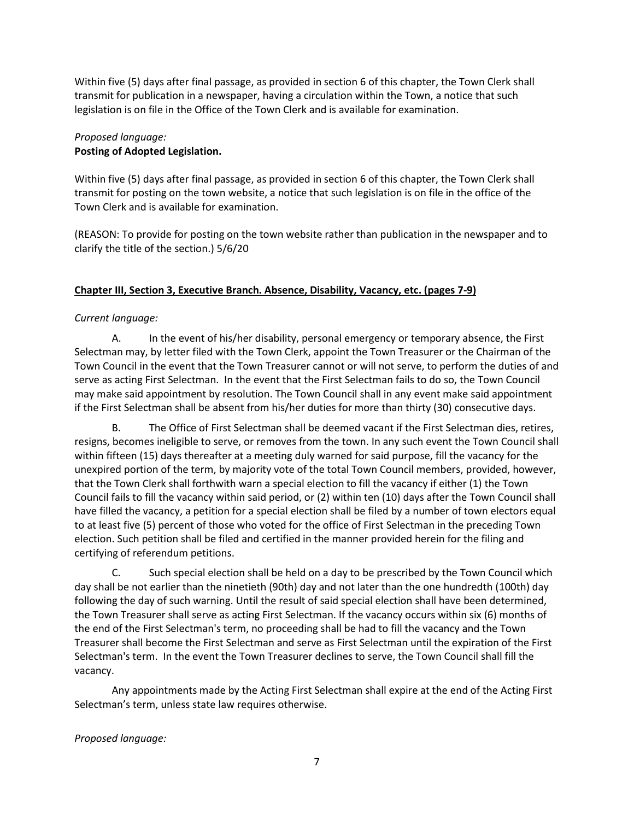Within five (5) days after final passage, as provided in section 6 of this chapter, the Town Clerk shall transmit for publication in a newspaper, having a circulation within the Town, a notice that such legislation is on file in the Office of the Town Clerk and is available for examination.

# *Proposed language:* **Posting of Adopted Legislation.**

Within five (5) days after final passage, as provided in section 6 of this chapter, the Town Clerk shall transmit for posting on the town website, a notice that such legislation is on file in the office of the Town Clerk and is available for examination.

(REASON: To provide for posting on the town website rather than publication in the newspaper and to clarify the title of the section.) 5/6/20

# **Chapter III, Section 3, Executive Branch. Absence, Disability, Vacancy, etc. (pages 7-9)**

# *Current language:*

A. In the event of his/her disability, personal emergency or temporary absence, the First Selectman may, by letter filed with the Town Clerk, appoint the Town Treasurer or the Chairman of the Town Council in the event that the Town Treasurer cannot or will not serve, to perform the duties of and serve as acting First Selectman. In the event that the First Selectman fails to do so, the Town Council may make said appointment by resolution. The Town Council shall in any event make said appointment if the First Selectman shall be absent from his/her duties for more than thirty (30) consecutive days.

B. The Office of First Selectman shall be deemed vacant if the First Selectman dies, retires, resigns, becomes ineligible to serve, or removes from the town. In any such event the Town Council shall within fifteen (15) days thereafter at a meeting duly warned for said purpose, fill the vacancy for the unexpired portion of the term, by majority vote of the total Town Council members, provided, however, that the Town Clerk shall forthwith warn a special election to fill the vacancy if either (1) the Town Council fails to fill the vacancy within said period, or (2) within ten (10) days after the Town Council shall have filled the vacancy, a petition for a special election shall be filed by a number of town electors equal to at least five (5) percent of those who voted for the office of First Selectman in the preceding Town election. Such petition shall be filed and certified in the manner provided herein for the filing and certifying of referendum petitions.

C. Such special election shall be held on a day to be prescribed by the Town Council which day shall be not earlier than the ninetieth (90th) day and not later than the one hundredth (100th) day following the day of such warning. Until the result of said special election shall have been determined, the Town Treasurer shall serve as acting First Selectman. If the vacancy occurs within six (6) months of the end of the First Selectman's term, no proceeding shall be had to fill the vacancy and the Town Treasurer shall become the First Selectman and serve as First Selectman until the expiration of the First Selectman's term. In the event the Town Treasurer declines to serve, the Town Council shall fill the vacancy.

Any appointments made by the Acting First Selectman shall expire at the end of the Acting First Selectman's term, unless state law requires otherwise.

# *Proposed language:*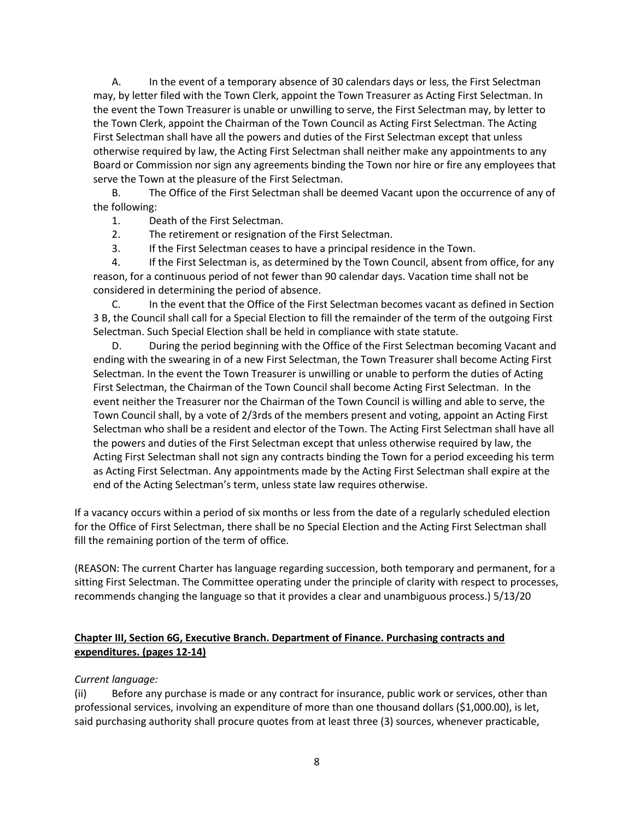A. In the event of a temporary absence of 30 calendars days or less, the First Selectman may, by letter filed with the Town Clerk, appoint the Town Treasurer as Acting First Selectman. In the event the Town Treasurer is unable or unwilling to serve, the First Selectman may, by letter to the Town Clerk, appoint the Chairman of the Town Council as Acting First Selectman. The Acting First Selectman shall have all the powers and duties of the First Selectman except that unless otherwise required by law, the Acting First Selectman shall neither make any appointments to any Board or Commission nor sign any agreements binding the Town nor hire or fire any employees that serve the Town at the pleasure of the First Selectman.

B. The Office of the First Selectman shall be deemed Vacant upon the occurrence of any of the following:

1. Death of the First Selectman.

2. The retirement or resignation of the First Selectman.

3. If the First Selectman ceases to have a principal residence in the Town.

4. If the First Selectman is, as determined by the Town Council, absent from office, for any reason, for a continuous period of not fewer than 90 calendar days. Vacation time shall not be considered in determining the period of absence.

C. In the event that the Office of the First Selectman becomes vacant as defined in Section 3 B, the Council shall call for a Special Election to fill the remainder of the term of the outgoing First Selectman. Such Special Election shall be held in compliance with state statute.

D. During the period beginning with the Office of the First Selectman becoming Vacant and ending with the swearing in of a new First Selectman, the Town Treasurer shall become Acting First Selectman. In the event the Town Treasurer is unwilling or unable to perform the duties of Acting First Selectman, the Chairman of the Town Council shall become Acting First Selectman. In the event neither the Treasurer nor the Chairman of the Town Council is willing and able to serve, the Town Council shall, by a vote of 2/3rds of the members present and voting, appoint an Acting First Selectman who shall be a resident and elector of the Town. The Acting First Selectman shall have all the powers and duties of the First Selectman except that unless otherwise required by law, the Acting First Selectman shall not sign any contracts binding the Town for a period exceeding his term as Acting First Selectman. Any appointments made by the Acting First Selectman shall expire at the end of the Acting Selectman's term, unless state law requires otherwise.

If a vacancy occurs within a period of six months or less from the date of a regularly scheduled election for the Office of First Selectman, there shall be no Special Election and the Acting First Selectman shall fill the remaining portion of the term of office.

(REASON: The current Charter has language regarding succession, both temporary and permanent, for a sitting First Selectman. The Committee operating under the principle of clarity with respect to processes, recommends changing the language so that it provides a clear and unambiguous process.) 5/13/20

# **Chapter III, Section 6G, Executive Branch. Department of Finance. Purchasing contracts and expenditures. (pages 12-14)**

### *Current language:*

(ii) Before any purchase is made or any contract for insurance, public work or services, other than professional services, involving an expenditure of more than one thousand dollars (\$1,000.00), is let, said purchasing authority shall procure quotes from at least three (3) sources, whenever practicable,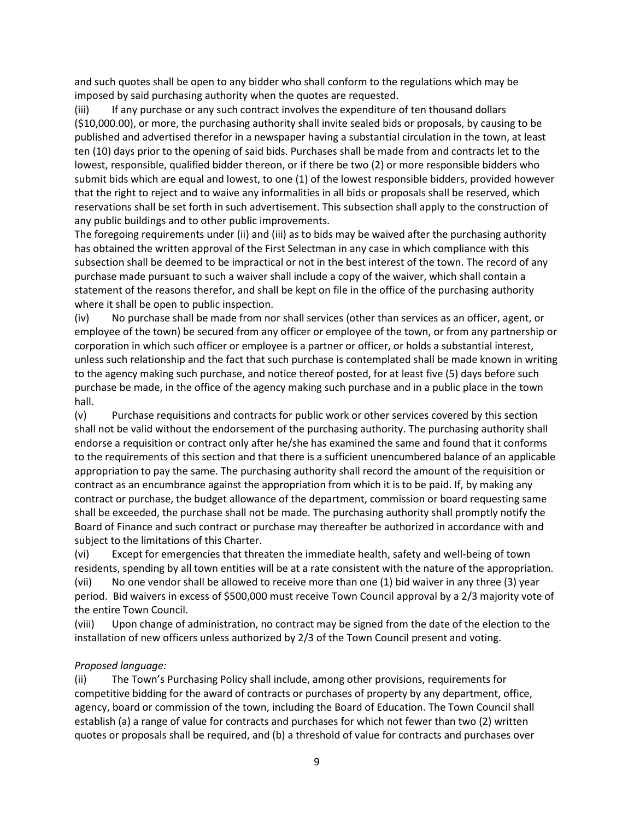and such quotes shall be open to any bidder who shall conform to the regulations which may be imposed by said purchasing authority when the quotes are requested.

(iii) If any purchase or any such contract involves the expenditure of ten thousand dollars (\$10,000.00), or more, the purchasing authority shall invite sealed bids or proposals, by causing to be published and advertised therefor in a newspaper having a substantial circulation in the town, at least ten (10) days prior to the opening of said bids. Purchases shall be made from and contracts let to the lowest, responsible, qualified bidder thereon, or if there be two (2) or more responsible bidders who submit bids which are equal and lowest, to one (1) of the lowest responsible bidders, provided however that the right to reject and to waive any informalities in all bids or proposals shall be reserved, which reservations shall be set forth in such advertisement. This subsection shall apply to the construction of any public buildings and to other public improvements.

The foregoing requirements under (ii) and (iii) as to bids may be waived after the purchasing authority has obtained the written approval of the First Selectman in any case in which compliance with this subsection shall be deemed to be impractical or not in the best interest of the town. The record of any purchase made pursuant to such a waiver shall include a copy of the waiver, which shall contain a statement of the reasons therefor, and shall be kept on file in the office of the purchasing authority where it shall be open to public inspection.

(iv) No purchase shall be made from nor shall services (other than services as an officer, agent, or employee of the town) be secured from any officer or employee of the town, or from any partnership or corporation in which such officer or employee is a partner or officer, or holds a substantial interest, unless such relationship and the fact that such purchase is contemplated shall be made known in writing to the agency making such purchase, and notice thereof posted, for at least five (5) days before such purchase be made, in the office of the agency making such purchase and in a public place in the town hall.

(v) Purchase requisitions and contracts for public work or other services covered by this section shall not be valid without the endorsement of the purchasing authority. The purchasing authority shall endorse a requisition or contract only after he/she has examined the same and found that it conforms to the requirements of this section and that there is a sufficient unencumbered balance of an applicable appropriation to pay the same. The purchasing authority shall record the amount of the requisition or contract as an encumbrance against the appropriation from which it is to be paid. If, by making any contract or purchase, the budget allowance of the department, commission or board requesting same shall be exceeded, the purchase shall not be made. The purchasing authority shall promptly notify the Board of Finance and such contract or purchase may thereafter be authorized in accordance with and subject to the limitations of this Charter.

(vi) Except for emergencies that threaten the immediate health, safety and well-being of town residents, spending by all town entities will be at a rate consistent with the nature of the appropriation.

(vii) No one vendor shall be allowed to receive more than one (1) bid waiver in any three (3) year period. Bid waivers in excess of \$500,000 must receive Town Council approval by a 2/3 majority vote of the entire Town Council.

(viii) Upon change of administration, no contract may be signed from the date of the election to the installation of new officers unless authorized by 2/3 of the Town Council present and voting.

### *Proposed language:*

(ii) The Town's Purchasing Policy shall include, among other provisions, requirements for competitive bidding for the award of contracts or purchases of property by any department, office, agency, board or commission of the town, including the Board of Education. The Town Council shall establish (a) a range of value for contracts and purchases for which not fewer than two (2) written quotes or proposals shall be required, and (b) a threshold of value for contracts and purchases over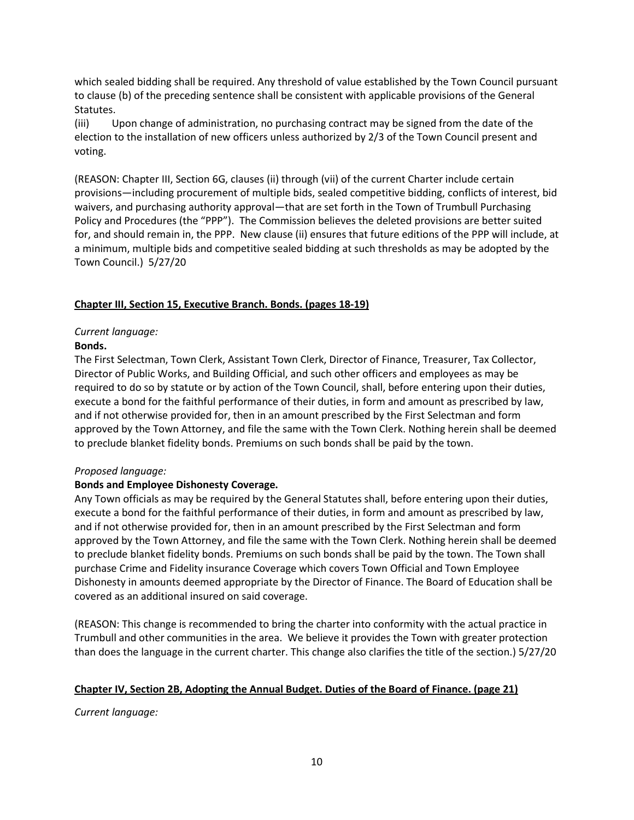which sealed bidding shall be required. Any threshold of value established by the Town Council pursuant to clause (b) of the preceding sentence shall be consistent with applicable provisions of the General Statutes.

(iii) Upon change of administration, no purchasing contract may be signed from the date of the election to the installation of new officers unless authorized by 2/3 of the Town Council present and voting.

(REASON: Chapter III, Section 6G, clauses (ii) through (vii) of the current Charter include certain provisions—including procurement of multiple bids, sealed competitive bidding, conflicts of interest, bid waivers, and purchasing authority approval—that are set forth in the Town of Trumbull Purchasing Policy and Procedures (the "PPP"). The Commission believes the deleted provisions are better suited for, and should remain in, the PPP. New clause (ii) ensures that future editions of the PPP will include, at a minimum, multiple bids and competitive sealed bidding at such thresholds as may be adopted by the Town Council.) 5/27/20

## **Chapter III, Section 15, Executive Branch. Bonds. (pages 18-19)**

### *Current language:*

### **Bonds.**

The First Selectman, Town Clerk, Assistant Town Clerk, Director of Finance, Treasurer, Tax Collector, Director of Public Works, and Building Official, and such other officers and employees as may be required to do so by statute or by action of the Town Council, shall, before entering upon their duties, execute a bond for the faithful performance of their duties, in form and amount as prescribed by law, and if not otherwise provided for, then in an amount prescribed by the First Selectman and form approved by the Town Attorney, and file the same with the Town Clerk. Nothing herein shall be deemed to preclude blanket fidelity bonds. Premiums on such bonds shall be paid by the town.

### *Proposed language:*

### **Bonds and Employee Dishonesty Coverage.**

Any Town officials as may be required by the General Statutes shall, before entering upon their duties, execute a bond for the faithful performance of their duties, in form and amount as prescribed by law, and if not otherwise provided for, then in an amount prescribed by the First Selectman and form approved by the Town Attorney, and file the same with the Town Clerk. Nothing herein shall be deemed to preclude blanket fidelity bonds. Premiums on such bonds shall be paid by the town. The Town shall purchase Crime and Fidelity insurance Coverage which covers Town Official and Town Employee Dishonesty in amounts deemed appropriate by the Director of Finance. The Board of Education shall be covered as an additional insured on said coverage.

(REASON: This change is recommended to bring the charter into conformity with the actual practice in Trumbull and other communities in the area. We believe it provides the Town with greater protection than does the language in the current charter. This change also clarifies the title of the section.) 5/27/20

### **Chapter IV, Section 2B, Adopting the Annual Budget. Duties of the Board of Finance. (page 21)**

*Current language:*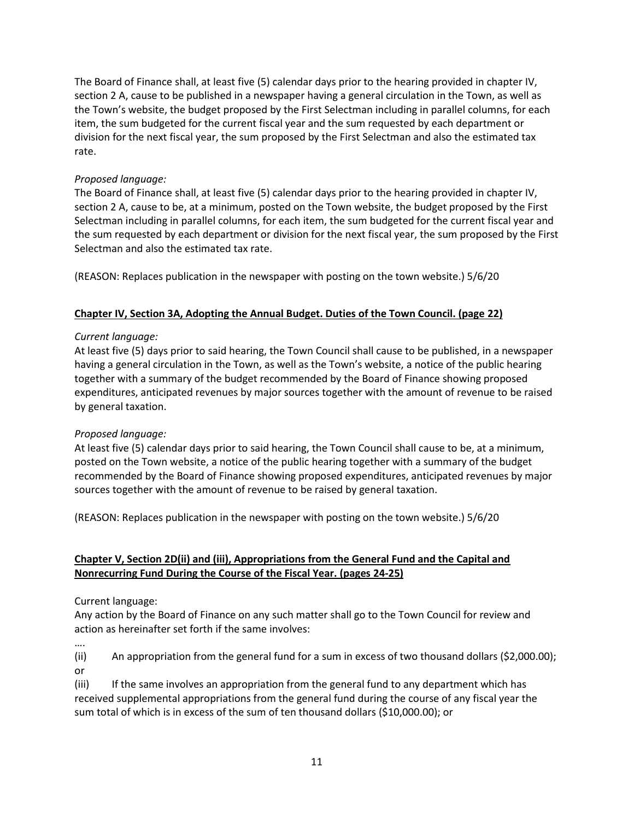The Board of Finance shall, at least five (5) calendar days prior to the hearing provided in chapter IV, section 2 A, cause to be published in a newspaper having a general circulation in the Town, as well as the Town's website, the budget proposed by the First Selectman including in parallel columns, for each item, the sum budgeted for the current fiscal year and the sum requested by each department or division for the next fiscal year, the sum proposed by the First Selectman and also the estimated tax rate.

## *Proposed language:*

The Board of Finance shall, at least five (5) calendar days prior to the hearing provided in chapter IV, section 2 A, cause to be, at a minimum, posted on the Town website, the budget proposed by the First Selectman including in parallel columns, for each item, the sum budgeted for the current fiscal year and the sum requested by each department or division for the next fiscal year, the sum proposed by the First Selectman and also the estimated tax rate.

(REASON: Replaces publication in the newspaper with posting on the town website.) 5/6/20

## **Chapter IV, Section 3A, Adopting the Annual Budget. Duties of the Town Council. (page 22)**

### *Current language:*

At least five (5) days prior to said hearing, the Town Council shall cause to be published, in a newspaper having a general circulation in the Town, as well as the Town's website, a notice of the public hearing together with a summary of the budget recommended by the Board of Finance showing proposed expenditures, anticipated revenues by major sources together with the amount of revenue to be raised by general taxation.

# *Proposed language:*

At least five (5) calendar days prior to said hearing, the Town Council shall cause to be, at a minimum, posted on the Town website, a notice of the public hearing together with a summary of the budget recommended by the Board of Finance showing proposed expenditures, anticipated revenues by major sources together with the amount of revenue to be raised by general taxation.

(REASON: Replaces publication in the newspaper with posting on the town website.) 5/6/20

# **Chapter V, Section 2D(ii) and (iii), Appropriations from the General Fund and the Capital and Nonrecurring Fund During the Course of the Fiscal Year. (pages 24-25)**

Current language:

Any action by the Board of Finance on any such matter shall go to the Town Council for review and action as hereinafter set forth if the same involves:

….

(ii) An appropriation from the general fund for a sum in excess of two thousand dollars (\$2,000.00); or

(iii) If the same involves an appropriation from the general fund to any department which has received supplemental appropriations from the general fund during the course of any fiscal year the sum total of which is in excess of the sum of ten thousand dollars (\$10,000.00); or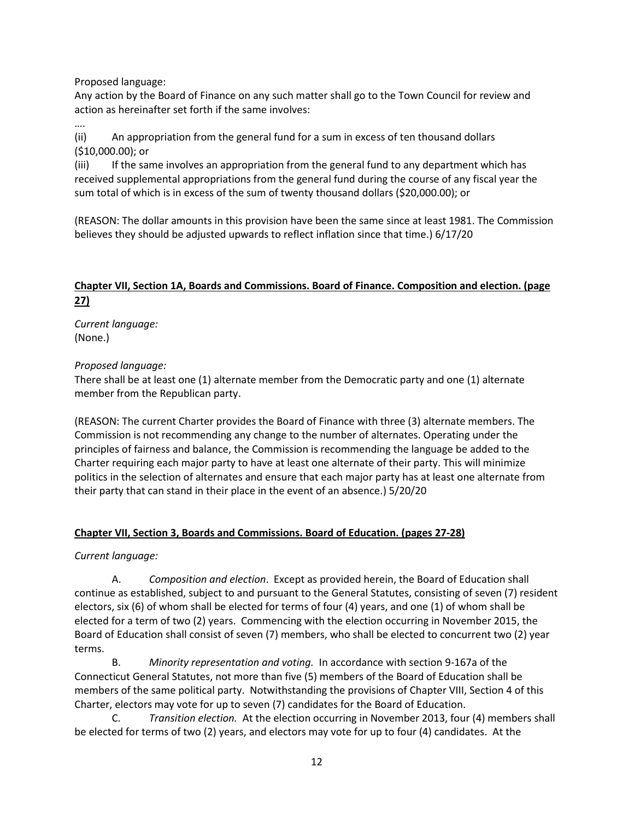Proposed language:

Any action by the Board of Finance on any such matter shall go to the Town Council for review and action as hereinafter set forth if the same involves:

…. (ii) An appropriation from the general fund for a sum in excess of ten thousand dollars (\$10,000.00); or

(iii) If the same involves an appropriation from the general fund to any department which has received supplemental appropriations from the general fund during the course of any fiscal year the sum total of which is in excess of the sum of twenty thousand dollars (\$20,000.00); or

(REASON: The dollar amounts in this provision have been the same since at least 1981. The Commission believes they should be adjusted upwards to reflect inflation since that time.) 6/17/20

# **Chapter VII, Section 1A, Boards and Commissions. Board of Finance. Composition and election. (page 27)**

*Current language:* (None.)

## *Proposed language:*

There shall be at least one (1) alternate member from the Democratic party and one (1) alternate member from the Republican party.

(REASON: The current Charter provides the Board of Finance with three (3) alternate members. The Commission is not recommending any change to the number of alternates. Operating under the principles of fairness and balance, the Commission is recommending the language be added to the Charter requiring each major party to have at least one alternate of their party. This will minimize politics in the selection of alternates and ensure that each major party has at least one alternate from their party that can stand in their place in the event of an absence.) 5/20/20

### **Chapter VII, Section 3, Boards and Commissions. Board of Education. (pages 27-28)**

### *Current language:*

A. *Composition and election*. Except as provided herein, the Board of Education shall continue as established, subject to and pursuant to the General Statutes, consisting of seven (7) resident electors, six (6) of whom shall be elected for terms of four (4) years, and one (1) of whom shall be elected for a term of two (2) years. Commencing with the election occurring in November 2015, the Board of Education shall consist of seven (7) members, who shall be elected to concurrent two (2) year terms.

B. *Minority representation and voting.* In accordance with section 9-167a of the Connecticut General Statutes, not more than five (5) members of the Board of Education shall be members of the same political party. Notwithstanding the provisions of Chapter VIII, Section 4 of this Charter, electors may vote for up to seven (7) candidates for the Board of Education.

C. *Transition election.* At the election occurring in November 2013, four (4) members shall be elected for terms of two (2) years, and electors may vote for up to four (4) candidates. At the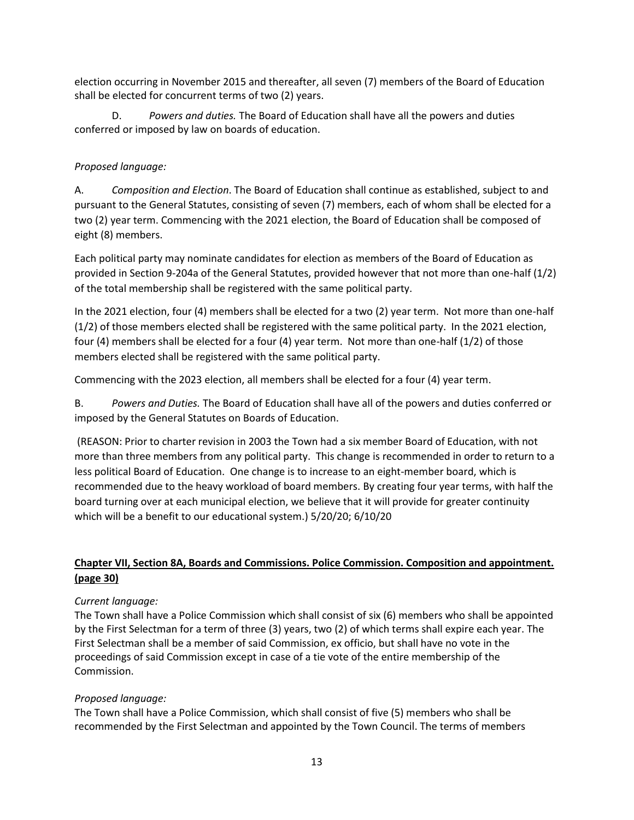election occurring in November 2015 and thereafter, all seven (7) members of the Board of Education shall be elected for concurrent terms of two (2) years.

D. *Powers and duties.* The Board of Education shall have all the powers and duties conferred or imposed by law on boards of education.

# *Proposed language:*

A. *Composition and Election*. The Board of Education shall continue as established, subject to and pursuant to the General Statutes, consisting of seven (7) members, each of whom shall be elected for a two (2) year term. Commencing with the 2021 election, the Board of Education shall be composed of eight (8) members.

Each political party may nominate candidates for election as members of the Board of Education as provided in Section 9-204a of the General Statutes, provided however that not more than one-half (1/2) of the total membership shall be registered with the same political party.

In the 2021 election, four (4) members shall be elected for a two (2) year term. Not more than one-half (1/2) of those members elected shall be registered with the same political party. In the 2021 election, four (4) members shall be elected for a four (4) year term. Not more than one-half (1/2) of those members elected shall be registered with the same political party.

Commencing with the 2023 election, all members shall be elected for a four (4) year term.

B. *Powers and Duties.* The Board of Education shall have all of the powers and duties conferred or imposed by the General Statutes on Boards of Education.

(REASON: Prior to charter revision in 2003 the Town had a six member Board of Education, with not more than three members from any political party. This change is recommended in order to return to a less political Board of Education. One change is to increase to an eight-member board, which is recommended due to the heavy workload of board members. By creating four year terms, with half the board turning over at each municipal election, we believe that it will provide for greater continuity which will be a benefit to our educational system.) 5/20/20; 6/10/20

# **Chapter VII, Section 8A, Boards and Commissions. Police Commission. Composition and appointment. (page 30)**

# *Current language:*

The Town shall have a Police Commission which shall consist of six (6) members who shall be appointed by the First Selectman for a term of three (3) years, two (2) of which terms shall expire each year. The First Selectman shall be a member of said Commission, ex officio, but shall have no vote in the proceedings of said Commission except in case of a tie vote of the entire membership of the Commission.

# *Proposed language:*

The Town shall have a Police Commission, which shall consist of five (5) members who shall be recommended by the First Selectman and appointed by the Town Council. The terms of members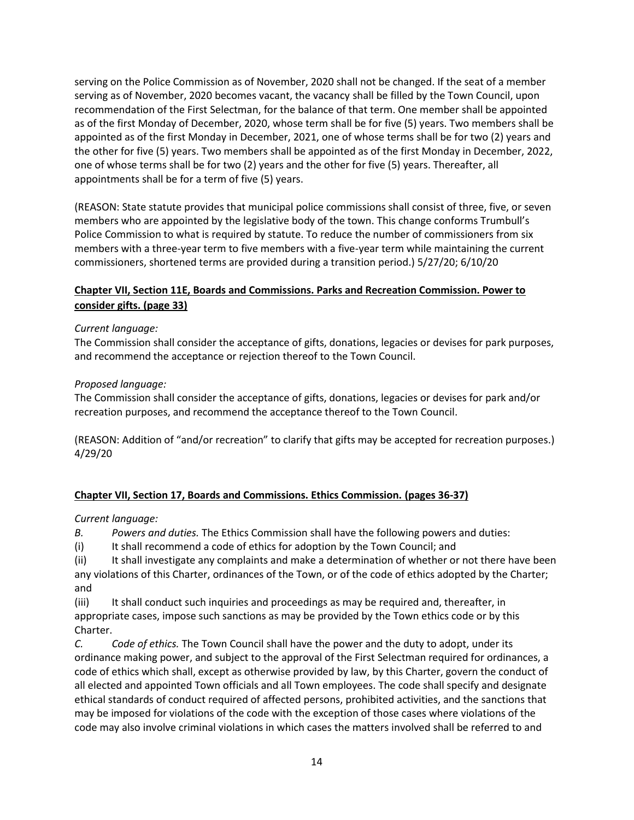serving on the Police Commission as of November, 2020 shall not be changed. If the seat of a member serving as of November, 2020 becomes vacant, the vacancy shall be filled by the Town Council, upon recommendation of the First Selectman, for the balance of that term. One member shall be appointed as of the first Monday of December, 2020, whose term shall be for five (5) years. Two members shall be appointed as of the first Monday in December, 2021, one of whose terms shall be for two (2) years and the other for five (5) years. Two members shall be appointed as of the first Monday in December, 2022, one of whose terms shall be for two (2) years and the other for five (5) years. Thereafter, all appointments shall be for a term of five (5) years.

(REASON: State statute provides that municipal police commissions shall consist of three, five, or seven members who are appointed by the legislative body of the town. This change conforms Trumbull's Police Commission to what is required by statute. To reduce the number of commissioners from six members with a three-year term to five members with a five-year term while maintaining the current commissioners, shortened terms are provided during a transition period.) 5/27/20; 6/10/20

# **Chapter VII, Section 11E, Boards and Commissions. Parks and Recreation Commission. Power to consider gifts. (page 33)**

## *Current language:*

The Commission shall consider the acceptance of gifts, donations, legacies or devises for park purposes, and recommend the acceptance or rejection thereof to the Town Council.

## *Proposed language:*

The Commission shall consider the acceptance of gifts, donations, legacies or devises for park and/or recreation purposes, and recommend the acceptance thereof to the Town Council.

(REASON: Addition of "and/or recreation" to clarify that gifts may be accepted for recreation purposes.) 4/29/20

# **Chapter VII, Section 17, Boards and Commissions. Ethics Commission. (pages 36-37)**

### *Current language:*

*B. Powers and duties.* The Ethics Commission shall have the following powers and duties:

(i) It shall recommend a code of ethics for adoption by the Town Council; and

(ii) It shall investigate any complaints and make a determination of whether or not there have been any violations of this Charter, ordinances of the Town, or of the code of ethics adopted by the Charter; and

(iii) It shall conduct such inquiries and proceedings as may be required and, thereafter, in appropriate cases, impose such sanctions as may be provided by the Town ethics code or by this Charter.

*C. Code of ethics.* The Town Council shall have the power and the duty to adopt, under its ordinance making power, and subject to the approval of the First Selectman required for ordinances, a code of ethics which shall, except as otherwise provided by law, by this Charter, govern the conduct of all elected and appointed Town officials and all Town employees. The code shall specify and designate ethical standards of conduct required of affected persons, prohibited activities, and the sanctions that may be imposed for violations of the code with the exception of those cases where violations of the code may also involve criminal violations in which cases the matters involved shall be referred to and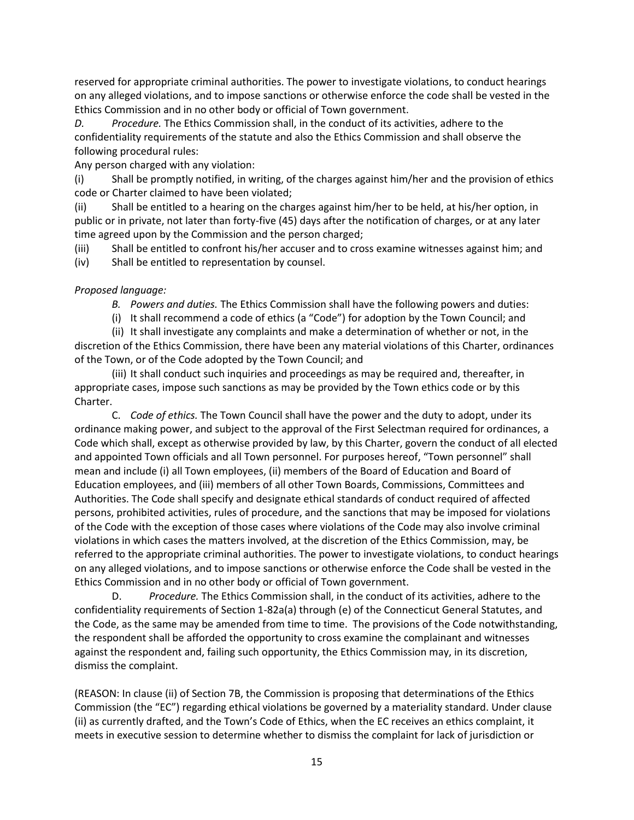reserved for appropriate criminal authorities. The power to investigate violations, to conduct hearings on any alleged violations, and to impose sanctions or otherwise enforce the code shall be vested in the Ethics Commission and in no other body or official of Town government.

*D. Procedure.* The Ethics Commission shall, in the conduct of its activities, adhere to the confidentiality requirements of the statute and also the Ethics Commission and shall observe the following procedural rules:

Any person charged with any violation:

(i) Shall be promptly notified, in writing, of the charges against him/her and the provision of ethics code or Charter claimed to have been violated;

(ii) Shall be entitled to a hearing on the charges against him/her to be held, at his/her option, in public or in private, not later than forty-five (45) days after the notification of charges, or at any later time agreed upon by the Commission and the person charged;

(iii) Shall be entitled to confront his/her accuser and to cross examine witnesses against him; and (iv) Shall be entitled to representation by counsel.

### *Proposed language:*

- *B. Powers and duties.* The Ethics Commission shall have the following powers and duties:
- (i) It shall recommend a code of ethics (a "Code") for adoption by the Town Council; and

(ii) It shall investigate any complaints and make a determination of whether or not, in the discretion of the Ethics Commission, there have been any material violations of this Charter, ordinances of the Town, or of the Code adopted by the Town Council; and

(iii) It shall conduct such inquiries and proceedings as may be required and, thereafter, in appropriate cases, impose such sanctions as may be provided by the Town ethics code or by this Charter.

C. *Code of ethics.* The Town Council shall have the power and the duty to adopt, under its ordinance making power, and subject to the approval of the First Selectman required for ordinances, a Code which shall, except as otherwise provided by law, by this Charter, govern the conduct of all elected and appointed Town officials and all Town personnel. For purposes hereof, "Town personnel" shall mean and include (i) all Town employees, (ii) members of the Board of Education and Board of Education employees, and (iii) members of all other Town Boards, Commissions, Committees and Authorities. The Code shall specify and designate ethical standards of conduct required of affected persons, prohibited activities, rules of procedure, and the sanctions that may be imposed for violations of the Code with the exception of those cases where violations of the Code may also involve criminal violations in which cases the matters involved, at the discretion of the Ethics Commission, may, be referred to the appropriate criminal authorities. The power to investigate violations, to conduct hearings on any alleged violations, and to impose sanctions or otherwise enforce the Code shall be vested in the Ethics Commission and in no other body or official of Town government.

D. *Procedure.* The Ethics Commission shall, in the conduct of its activities, adhere to the confidentiality requirements of Section 1-82a(a) through (e) of the Connecticut General Statutes, and the Code, as the same may be amended from time to time. The provisions of the Code notwithstanding, the respondent shall be afforded the opportunity to cross examine the complainant and witnesses against the respondent and, failing such opportunity, the Ethics Commission may, in its discretion, dismiss the complaint.

(REASON: In clause (ii) of Section 7B, the Commission is proposing that determinations of the Ethics Commission (the "EC") regarding ethical violations be governed by a materiality standard. Under clause (ii) as currently drafted, and the Town's Code of Ethics, when the EC receives an ethics complaint, it meets in executive session to determine whether to dismiss the complaint for lack of jurisdiction or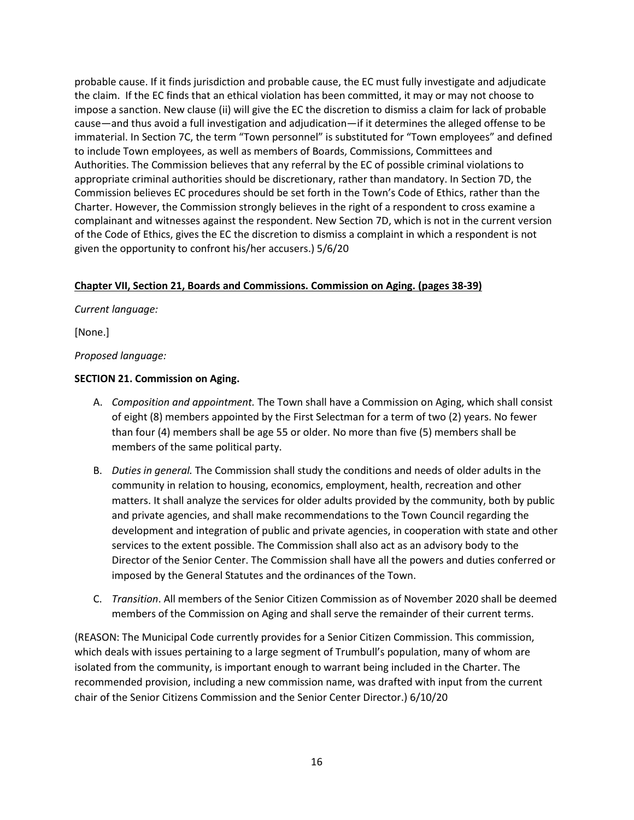probable cause. If it finds jurisdiction and probable cause, the EC must fully investigate and adjudicate the claim. If the EC finds that an ethical violation has been committed, it may or may not choose to impose a sanction. New clause (ii) will give the EC the discretion to dismiss a claim for lack of probable cause—and thus avoid a full investigation and adjudication—if it determines the alleged offense to be immaterial. In Section 7C, the term "Town personnel" is substituted for "Town employees" and defined to include Town employees, as well as members of Boards, Commissions, Committees and Authorities. The Commission believes that any referral by the EC of possible criminal violations to appropriate criminal authorities should be discretionary, rather than mandatory. In Section 7D, the Commission believes EC procedures should be set forth in the Town's Code of Ethics, rather than the Charter. However, the Commission strongly believes in the right of a respondent to cross examine a complainant and witnesses against the respondent. New Section 7D, which is not in the current version of the Code of Ethics, gives the EC the discretion to dismiss a complaint in which a respondent is not given the opportunity to confront his/her accusers.) 5/6/20

## **Chapter VII, Section 21, Boards and Commissions. Commission on Aging. (pages 38-39)**

*Current language:*

[None.]

*Proposed language:*

## **SECTION 21. Commission on Aging.**

- A. *Composition and appointment.* The Town shall have a Commission on Aging, which shall consist of eight (8) members appointed by the First Selectman for a term of two (2) years. No fewer than four (4) members shall be age 55 or older. No more than five (5) members shall be members of the same political party.
- B. *Duties in general.* The Commission shall study the conditions and needs of older adults in the community in relation to housing, economics, employment, health, recreation and other matters. It shall analyze the services for older adults provided by the community, both by public and private agencies, and shall make recommendations to the Town Council regarding the development and integration of public and private agencies, in cooperation with state and other services to the extent possible. The Commission shall also act as an advisory body to the Director of the Senior Center. The Commission shall have all the powers and duties conferred or imposed by the General Statutes and the ordinances of the Town.
- C. *Transition*. All members of the Senior Citizen Commission as of November 2020 shall be deemed members of the Commission on Aging and shall serve the remainder of their current terms.

(REASON: The Municipal Code currently provides for a Senior Citizen Commission. This commission, which deals with issues pertaining to a large segment of Trumbull's population, many of whom are isolated from the community, is important enough to warrant being included in the Charter. The recommended provision, including a new commission name, was drafted with input from the current chair of the Senior Citizens Commission and the Senior Center Director.) 6/10/20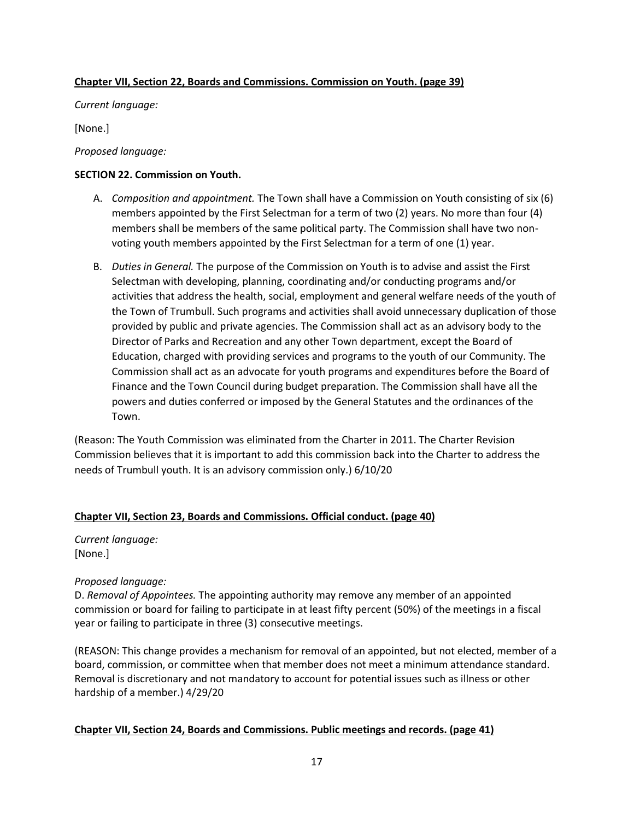## **Chapter VII, Section 22, Boards and Commissions. Commission on Youth. (page 39)**

*Current language:*

[None.]

*Proposed language:*

## **SECTION 22. Commission on Youth.**

- A. *Composition and appointment.* The Town shall have a Commission on Youth consisting of six (6) members appointed by the First Selectman for a term of two (2) years. No more than four (4) members shall be members of the same political party. The Commission shall have two nonvoting youth members appointed by the First Selectman for a term of one (1) year.
- B. *Duties in General.* The purpose of the Commission on Youth is to advise and assist the First Selectman with developing, planning, coordinating and/or conducting programs and/or activities that address the health, social, employment and general welfare needs of the youth of the Town of Trumbull. Such programs and activities shall avoid unnecessary duplication of those provided by public and private agencies. The Commission shall act as an advisory body to the Director of Parks and Recreation and any other Town department, except the Board of Education, charged with providing services and programs to the youth of our Community. The Commission shall act as an advocate for youth programs and expenditures before the Board of Finance and the Town Council during budget preparation. The Commission shall have all the powers and duties conferred or imposed by the General Statutes and the ordinances of the Town.

(Reason: The Youth Commission was eliminated from the Charter in 2011. The Charter Revision Commission believes that it is important to add this commission back into the Charter to address the needs of Trumbull youth. It is an advisory commission only.) 6/10/20

### **Chapter VII, Section 23, Boards and Commissions. Official conduct. (page 40)**

*Current language:* [None.]

### *Proposed language:*

D. *Removal of Appointees.* The appointing authority may remove any member of an appointed commission or board for failing to participate in at least fifty percent (50%) of the meetings in a fiscal year or failing to participate in three (3) consecutive meetings.

(REASON: This change provides a mechanism for removal of an appointed, but not elected, member of a board, commission, or committee when that member does not meet a minimum attendance standard. Removal is discretionary and not mandatory to account for potential issues such as illness or other hardship of a member.) 4/29/20

# **Chapter VII, Section 24, Boards and Commissions. Public meetings and records. (page 41)**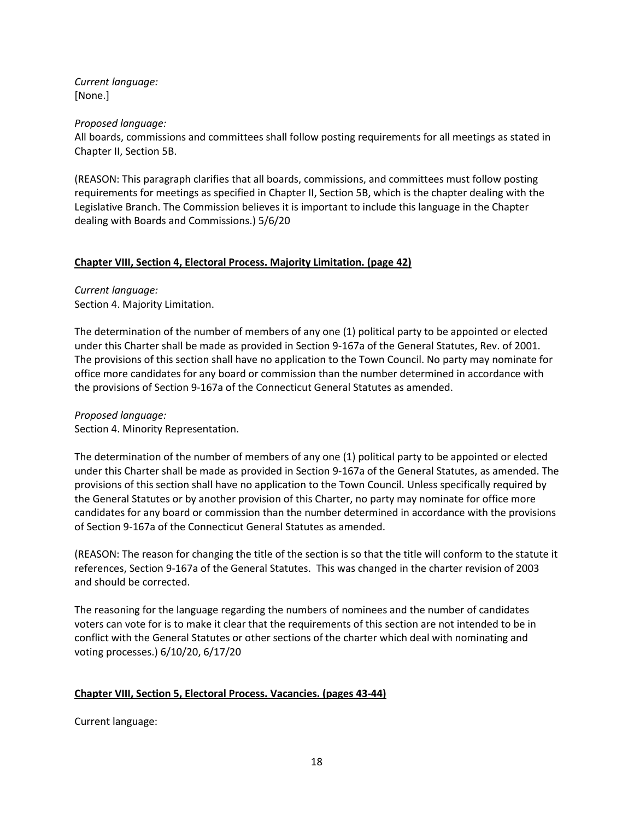*Current language:* [None.]

*Proposed language:*

All boards, commissions and committees shall follow posting requirements for all meetings as stated in Chapter II, Section 5B.

(REASON: This paragraph clarifies that all boards, commissions, and committees must follow posting requirements for meetings as specified in Chapter II, Section 5B, which is the chapter dealing with the Legislative Branch. The Commission believes it is important to include this language in the Chapter dealing with Boards and Commissions.) 5/6/20

## **Chapter VIII, Section 4, Electoral Process. Majority Limitation. (page 42)**

*Current language:* Section 4. Majority Limitation.

The determination of the number of members of any one (1) political party to be appointed or elected under this Charter shall be made as provided in Section 9-167a of the General Statutes, Rev. of 2001. The provisions of this section shall have no application to the Town Council. No party may nominate for office more candidates for any board or commission than the number determined in accordance with the provisions of Section 9-167a of the Connecticut General Statutes as amended.

*Proposed language:*

Section 4. Minority Representation.

The determination of the number of members of any one (1) political party to be appointed or elected under this Charter shall be made as provided in Section 9-167a of the General Statutes, as amended. The provisions of this section shall have no application to the Town Council. Unless specifically required by the General Statutes or by another provision of this Charter, no party may nominate for office more candidates for any board or commission than the number determined in accordance with the provisions of Section 9-167a of the Connecticut General Statutes as amended.

(REASON: The reason for changing the title of the section is so that the title will conform to the statute it references, Section 9-167a of the General Statutes. This was changed in the charter revision of 2003 and should be corrected.

The reasoning for the language regarding the numbers of nominees and the number of candidates voters can vote for is to make it clear that the requirements of this section are not intended to be in conflict with the General Statutes or other sections of the charter which deal with nominating and voting processes.) 6/10/20, 6/17/20

# **Chapter VIII, Section 5, Electoral Process. Vacancies. (pages 43-44)**

Current language: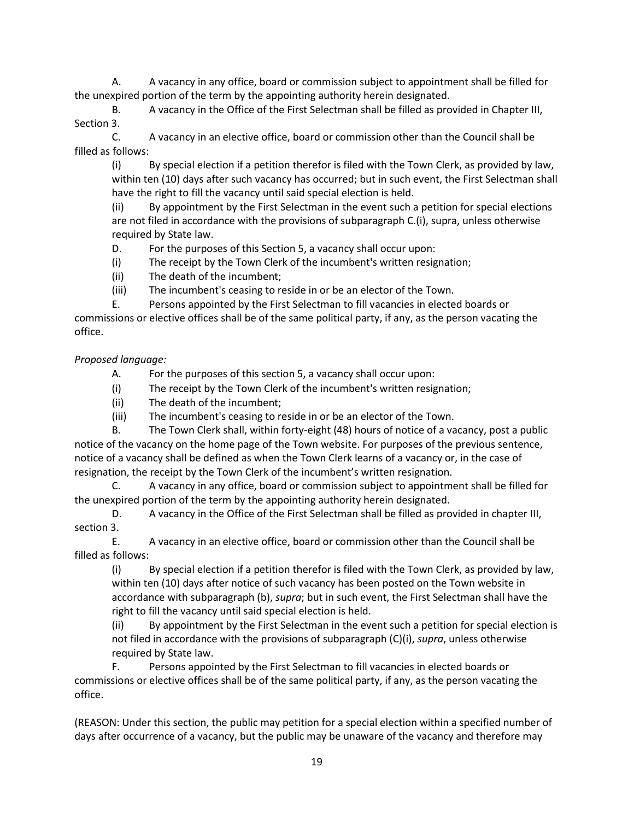A. A vacancy in any office, board or commission subject to appointment shall be filled for the unexpired portion of the term by the appointing authority herein designated.

B. A vacancy in the Office of the First Selectman shall be filled as provided in Chapter III, Section 3.

C. A vacancy in an elective office, board or commission other than the Council shall be filled as follows:

(i) By special election if a petition therefor is filed with the Town Clerk, as provided by law, within ten (10) days after such vacancy has occurred; but in such event, the First Selectman shall have the right to fill the vacancy until said special election is held.

(ii) By appointment by the First Selectman in the event such a petition for special elections are not filed in accordance with the provisions of subparagraph C.(i), supra, unless otherwise required by State law.

D. For the purposes of this Section 5, a vacancy shall occur upon:

- (i) The receipt by the Town Clerk of the incumbent's written resignation;
- (ii) The death of the incumbent;

(iii) The incumbent's ceasing to reside in or be an elector of the Town.

E. Persons appointed by the First Selectman to fill vacancies in elected boards or

commissions or elective offices shall be of the same political party, if any, as the person vacating the office.

# *Proposed language:*

- A. For the purposes of this section 5, a vacancy shall occur upon:
- (i) The receipt by the Town Clerk of the incumbent's written resignation;
- (ii) The death of the incumbent;
- (iii) The incumbent's ceasing to reside in or be an elector of the Town.

B. The Town Clerk shall, within forty-eight (48) hours of notice of a vacancy, post a public notice of the vacancy on the home page of the Town website. For purposes of the previous sentence, notice of a vacancy shall be defined as when the Town Clerk learns of a vacancy or, in the case of resignation, the receipt by the Town Clerk of the incumbent's written resignation.

C. A vacancy in any office, board or commission subject to appointment shall be filled for the unexpired portion of the term by the appointing authority herein designated.

D. A vacancy in the Office of the First Selectman shall be filled as provided in chapter III, section 3.

E. A vacancy in an elective office, board or commission other than the Council shall be filled as follows:

(i) By special election if a petition therefor is filed with the Town Clerk, as provided by law, within ten (10) days after notice of such vacancy has been posted on the Town website in accordance with subparagraph (b), *supra*; but in such event, the First Selectman shall have the right to fill the vacancy until said special election is held.

(ii) By appointment by the First Selectman in the event such a petition for special election is not filed in accordance with the provisions of subparagraph (C)(i), *supra*, unless otherwise required by State law.

F. Persons appointed by the First Selectman to fill vacancies in elected boards or commissions or elective offices shall be of the same political party, if any, as the person vacating the office.

(REASON: Under this section, the public may petition for a special election within a specified number of days after occurrence of a vacancy, but the public may be unaware of the vacancy and therefore may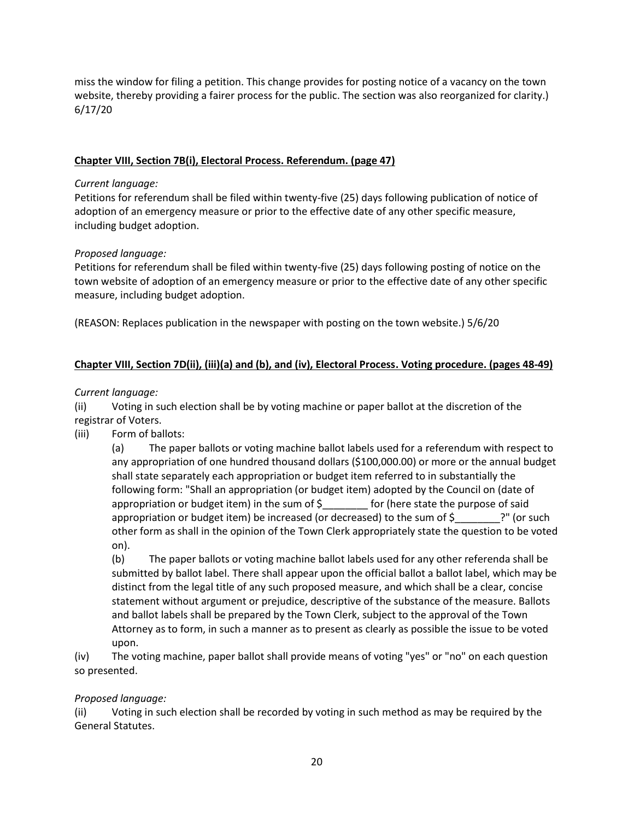miss the window for filing a petition. This change provides for posting notice of a vacancy on the town website, thereby providing a fairer process for the public. The section was also reorganized for clarity.) 6/17/20

# **Chapter VIII, Section 7B(i), Electoral Process. Referendum. (page 47)**

### *Current language:*

Petitions for referendum shall be filed within twenty-five (25) days following publication of notice of adoption of an emergency measure or prior to the effective date of any other specific measure, including budget adoption.

## *Proposed language:*

Petitions for referendum shall be filed within twenty-five (25) days following posting of notice on the town website of adoption of an emergency measure or prior to the effective date of any other specific measure, including budget adoption.

(REASON: Replaces publication in the newspaper with posting on the town website.) 5/6/20

# **Chapter VIII, Section 7D(ii), (iii)(a) and (b), and (iv), Electoral Process. Voting procedure. (pages 48-49)**

## *Current language:*

(ii) Voting in such election shall be by voting machine or paper ballot at the discretion of the registrar of Voters.

(iii) Form of ballots:

(a) The paper ballots or voting machine ballot labels used for a referendum with respect to any appropriation of one hundred thousand dollars (\$100,000.00) or more or the annual budget shall state separately each appropriation or budget item referred to in substantially the following form: "Shall an appropriation (or budget item) adopted by the Council on (date of appropriation or budget item) in the sum of  $\zeta$  for (here state the purpose of said appropriation or budget item) be increased (or decreased) to the sum of  $\zeta$  ?" (or such other form as shall in the opinion of the Town Clerk appropriately state the question to be voted on).

(b) The paper ballots or voting machine ballot labels used for any other referenda shall be submitted by ballot label. There shall appear upon the official ballot a ballot label, which may be distinct from the legal title of any such proposed measure, and which shall be a clear, concise statement without argument or prejudice, descriptive of the substance of the measure. Ballots and ballot labels shall be prepared by the Town Clerk, subject to the approval of the Town Attorney as to form, in such a manner as to present as clearly as possible the issue to be voted upon.

(iv) The voting machine, paper ballot shall provide means of voting "yes" or "no" on each question so presented.

# *Proposed language:*

(ii) Voting in such election shall be recorded by voting in such method as may be required by the General Statutes.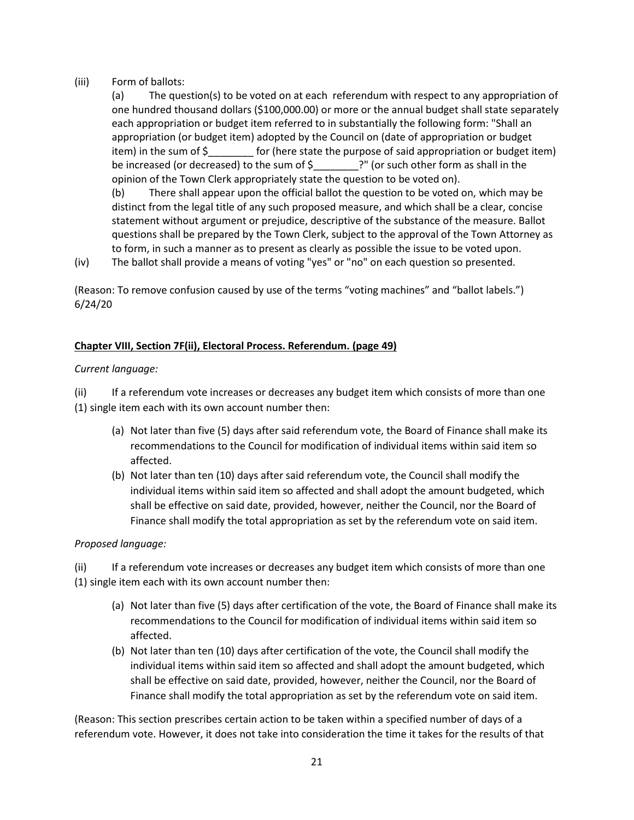## (iii) Form of ballots:

(a) The question(s) to be voted on at each referendum with respect to any appropriation of one hundred thousand dollars (\$100,000.00) or more or the annual budget shall state separately each appropriation or budget item referred to in substantially the following form: "Shall an appropriation (or budget item) adopted by the Council on (date of appropriation or budget item) in the sum of  $\zeta$  for (here state the purpose of said appropriation or budget item) be increased (or decreased) to the sum of \$ ?" (or such other form as shall in the opinion of the Town Clerk appropriately state the question to be voted on).

(b) There shall appear upon the official ballot the question to be voted on, which may be distinct from the legal title of any such proposed measure, and which shall be a clear, concise statement without argument or prejudice, descriptive of the substance of the measure. Ballot questions shall be prepared by the Town Clerk, subject to the approval of the Town Attorney as to form, in such a manner as to present as clearly as possible the issue to be voted upon.

(iv) The ballot shall provide a means of voting "yes" or "no" on each question so presented.

(Reason: To remove confusion caused by use of the terms "voting machines" and "ballot labels.") 6/24/20

## **Chapter VIII, Section 7F(ii), Electoral Process. Referendum. (page 49)**

## *Current language:*

(ii) If a referendum vote increases or decreases any budget item which consists of more than one (1) single item each with its own account number then:

- (a) Not later than five (5) days after said referendum vote, the Board of Finance shall make its recommendations to the Council for modification of individual items within said item so affected.
- (b) Not later than ten (10) days after said referendum vote, the Council shall modify the individual items within said item so affected and shall adopt the amount budgeted, which shall be effective on said date, provided, however, neither the Council, nor the Board of Finance shall modify the total appropriation as set by the referendum vote on said item.

# *Proposed language:*

(ii) If a referendum vote increases or decreases any budget item which consists of more than one (1) single item each with its own account number then:

- (a) Not later than five (5) days after certification of the vote, the Board of Finance shall make its recommendations to the Council for modification of individual items within said item so affected.
- (b) Not later than ten (10) days after certification of the vote, the Council shall modify the individual items within said item so affected and shall adopt the amount budgeted, which shall be effective on said date, provided, however, neither the Council, nor the Board of Finance shall modify the total appropriation as set by the referendum vote on said item.

(Reason: This section prescribes certain action to be taken within a specified number of days of a referendum vote. However, it does not take into consideration the time it takes for the results of that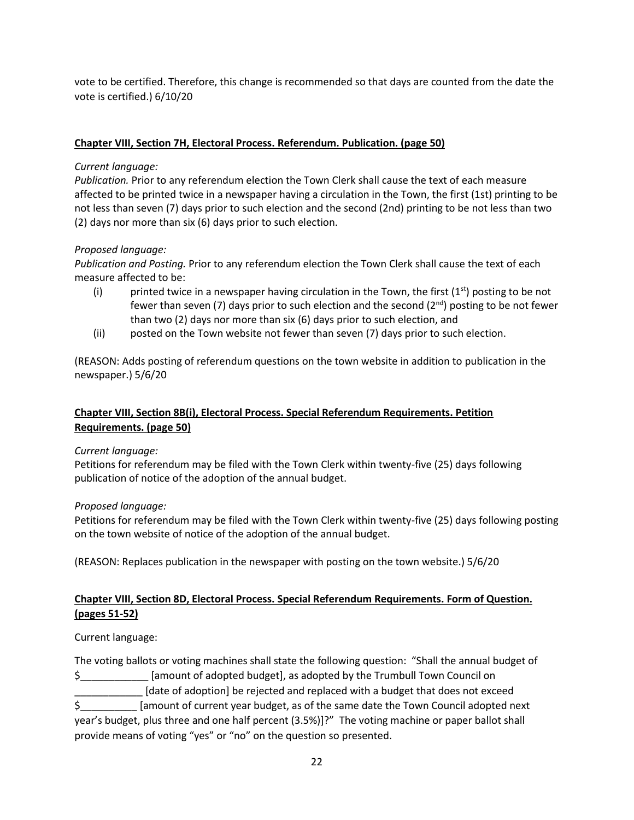vote to be certified. Therefore, this change is recommended so that days are counted from the date the vote is certified.) 6/10/20

# **Chapter VIII, Section 7H, Electoral Process. Referendum. Publication. (page 50)**

## *Current language:*

*Publication.* Prior to any referendum election the Town Clerk shall cause the text of each measure affected to be printed twice in a newspaper having a circulation in the Town, the first (1st) printing to be not less than seven (7) days prior to such election and the second (2nd) printing to be not less than two (2) days nor more than six (6) days prior to such election.

# *Proposed language:*

*Publication and Posting.* Prior to any referendum election the Town Clerk shall cause the text of each measure affected to be:

- (i) printed twice in a newspaper having circulation in the Town, the first  $(1<sup>st</sup>)$  posting to be not fewer than seven (7) days prior to such election and the second ( $2^{nd}$ ) posting to be not fewer than two (2) days nor more than six (6) days prior to such election, and
- (ii) posted on the Town website not fewer than seven (7) days prior to such election.

(REASON: Adds posting of referendum questions on the town website in addition to publication in the newspaper.) 5/6/20

# **Chapter VIII, Section 8B(i), Electoral Process. Special Referendum Requirements. Petition Requirements. (page 50)**

# *Current language:*

Petitions for referendum may be filed with the Town Clerk within twenty-five (25) days following publication of notice of the adoption of the annual budget.

# *Proposed language:*

Petitions for referendum may be filed with the Town Clerk within twenty-five (25) days following posting on the town website of notice of the adoption of the annual budget.

(REASON: Replaces publication in the newspaper with posting on the town website.) 5/6/20

# **Chapter VIII, Section 8D, Electoral Process. Special Referendum Requirements. Form of Question. (pages 51-52)**

Current language:

The voting ballots or voting machines shall state the following question: "Shall the annual budget of \$\_\_\_\_\_\_\_\_\_\_\_\_ [amount of adopted budget], as adopted by the Trumbull Town Council on \_\_\_\_\_\_\_\_\_\_\_\_ [date of adoption] be rejected and replaced with a budget that does not exceed \$\_\_\_\_\_\_\_\_\_\_ [amount of current year budget, as of the same date the Town Council adopted next year's budget, plus three and one half percent (3.5%)]?" The voting machine or paper ballot shall provide means of voting "yes" or "no" on the question so presented.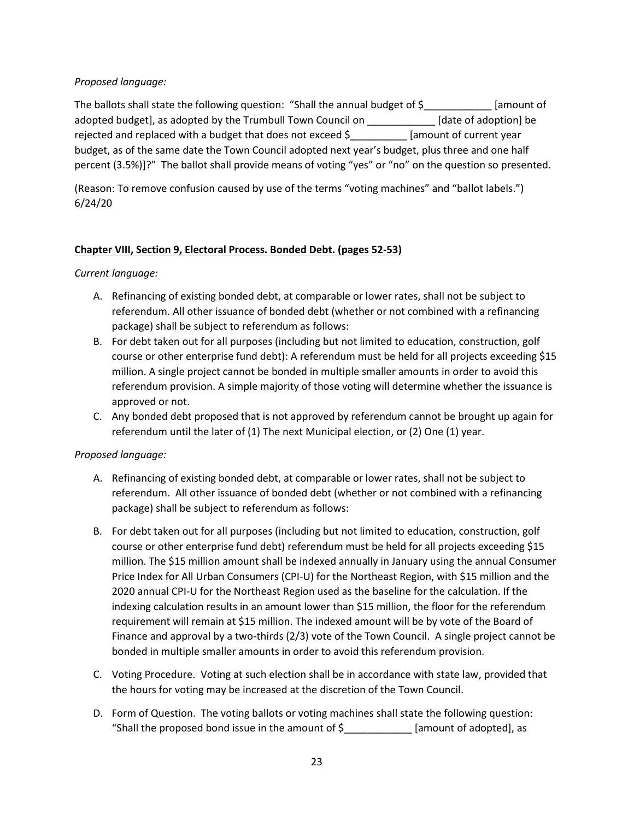## *Proposed language:*

The ballots shall state the following question: "Shall the annual budget of  $\frac{1}{2}$  [amount of adopted budget], as adopted by the Trumbull Town Council on \_\_\_\_\_\_\_\_\_\_\_\_ [date of adoption] be rejected and replaced with a budget that does not exceed \$\_\_\_\_\_\_\_\_\_\_ [amount of current year budget, as of the same date the Town Council adopted next year's budget, plus three and one half percent (3.5%)]?" The ballot shall provide means of voting "yes" or "no" on the question so presented.

(Reason: To remove confusion caused by use of the terms "voting machines" and "ballot labels.") 6/24/20

## **Chapter VIII, Section 9, Electoral Process. Bonded Debt. (pages 52-53)**

*Current language:*

- A. Refinancing of existing bonded debt, at comparable or lower rates, shall not be subject to referendum. All other issuance of bonded debt (whether or not combined with a refinancing package) shall be subject to referendum as follows:
- B. For debt taken out for all purposes (including but not limited to education, construction, golf course or other enterprise fund debt): A referendum must be held for all projects exceeding \$15 million. A single project cannot be bonded in multiple smaller amounts in order to avoid this referendum provision. A simple majority of those voting will determine whether the issuance is approved or not.
- C. Any bonded debt proposed that is not approved by referendum cannot be brought up again for referendum until the later of (1) The next Municipal election, or (2) One (1) year.

### *Proposed language:*

- A. Refinancing of existing bonded debt, at comparable or lower rates, shall not be subject to referendum. All other issuance of bonded debt (whether or not combined with a refinancing package) shall be subject to referendum as follows:
- B. For debt taken out for all purposes (including but not limited to education, construction, golf course or other enterprise fund debt) referendum must be held for all projects exceeding \$15 million. The \$15 million amount shall be indexed annually in January using the annual Consumer Price Index for All Urban Consumers (CPI-U) for the Northeast Region, with \$15 million and the 2020 annual CPI-U for the Northeast Region used as the baseline for the calculation. If the indexing calculation results in an amount lower than \$15 million, the floor for the referendum requirement will remain at \$15 million. The indexed amount will be by vote of the Board of Finance and approval by a two-thirds (2/3) vote of the Town Council. A single project cannot be bonded in multiple smaller amounts in order to avoid this referendum provision.
- C. Voting Procedure. Voting at such election shall be in accordance with state law, provided that the hours for voting may be increased at the discretion of the Town Council.
- D. Form of Question. The voting ballots or voting machines shall state the following question: "Shall the proposed bond issue in the amount of  $\zeta$  \_\_\_\_\_\_\_\_\_\_\_\_\_ [amount of adopted], as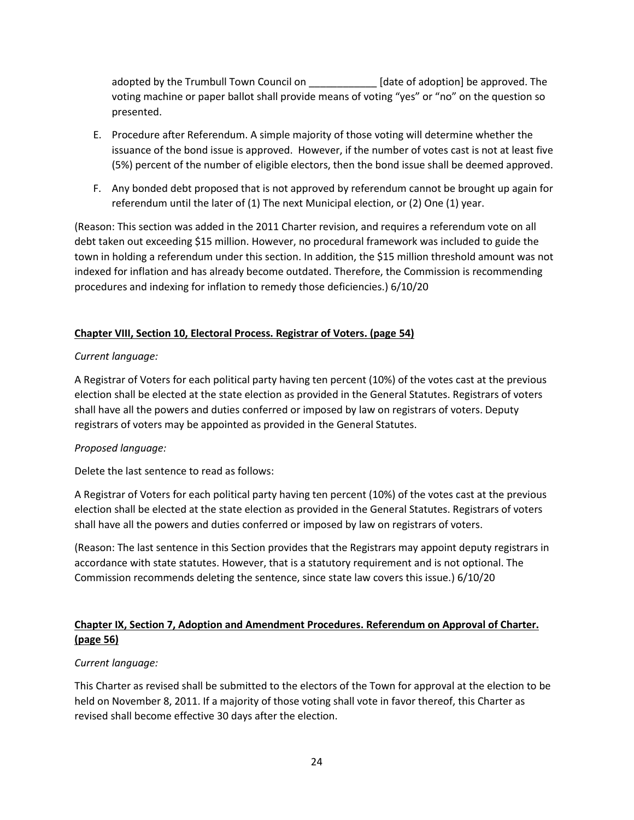adopted by the Trumbull Town Council on \_\_\_\_\_\_\_\_\_\_\_\_ [date of adoption] be approved. The voting machine or paper ballot shall provide means of voting "yes" or "no" on the question so presented.

- E. Procedure after Referendum. A simple majority of those voting will determine whether the issuance of the bond issue is approved. However, if the number of votes cast is not at least five (5%) percent of the number of eligible electors, then the bond issue shall be deemed approved.
- F. Any bonded debt proposed that is not approved by referendum cannot be brought up again for referendum until the later of (1) The next Municipal election, or (2) One (1) year.

(Reason: This section was added in the 2011 Charter revision, and requires a referendum vote on all debt taken out exceeding \$15 million. However, no procedural framework was included to guide the town in holding a referendum under this section. In addition, the \$15 million threshold amount was not indexed for inflation and has already become outdated. Therefore, the Commission is recommending procedures and indexing for inflation to remedy those deficiencies.) 6/10/20

# **Chapter VIII, Section 10, Electoral Process. Registrar of Voters. (page 54)**

## *Current language:*

A Registrar of Voters for each political party having ten percent (10%) of the votes cast at the previous election shall be elected at the state election as provided in the General Statutes. Registrars of voters shall have all the powers and duties conferred or imposed by law on registrars of voters. Deputy registrars of voters may be appointed as provided in the General Statutes.

### *Proposed language:*

Delete the last sentence to read as follows:

A Registrar of Voters for each political party having ten percent (10%) of the votes cast at the previous election shall be elected at the state election as provided in the General Statutes. Registrars of voters shall have all the powers and duties conferred or imposed by law on registrars of voters.

(Reason: The last sentence in this Section provides that the Registrars may appoint deputy registrars in accordance with state statutes. However, that is a statutory requirement and is not optional. The Commission recommends deleting the sentence, since state law covers this issue.) 6/10/20

# **Chapter IX, Section 7, Adoption and Amendment Procedures. Referendum on Approval of Charter. (page 56)**

### *Current language:*

This Charter as revised shall be submitted to the electors of the Town for approval at the election to be held on November 8, 2011. If a majority of those voting shall vote in favor thereof, this Charter as revised shall become effective 30 days after the election.